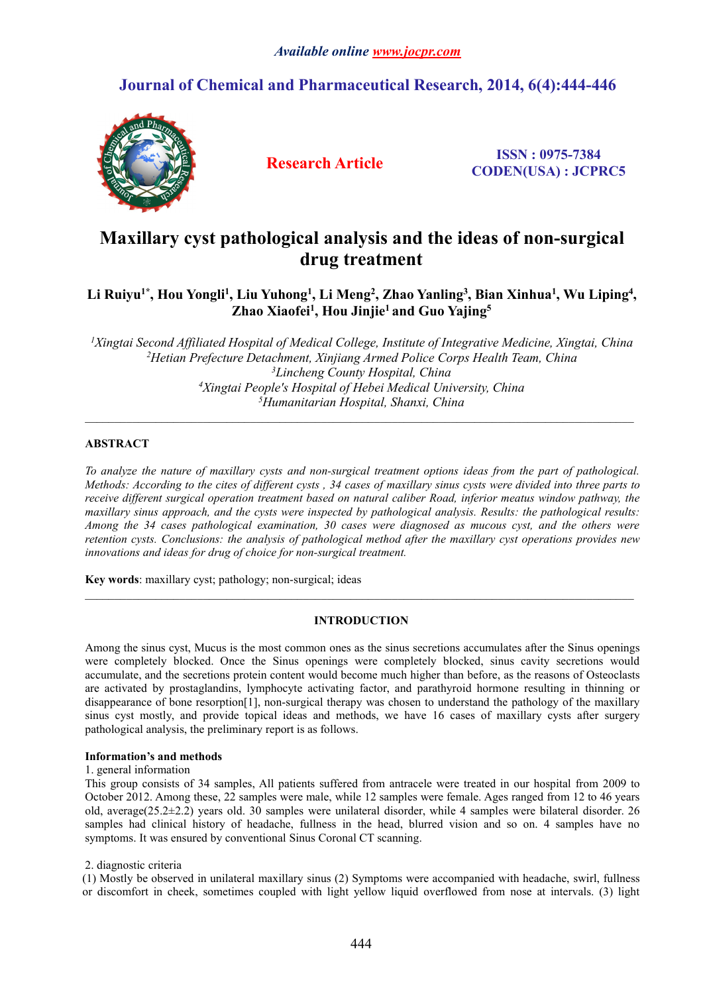### *Available online [www.jocpr.com](http://www.jocpr.com)*

## **Journal of Chemical and Pharmaceutical Research, 2014, 6(4):444-446**



**Research Article ISSN : 0975-7384 CODEN(USA) : JCPRC5**

# **Maxillary** cyst pathological analysis and the ideas of non-surgical **drug treatment**

#### Li Ruiyu<sup>1\*</sup>, Hou Yongli<sup>1</sup>, Liu Yuhong<sup>1</sup>, Li Meng<sup>2</sup>, Zhao Yanling<sup>3</sup>, Bian Xinhua<sup>1</sup>, Wu Liping<sup>4</sup>, **, Zhao Xiaofei<sup>1</sup> , Hou Jinjie<sup>1</sup> and Guo Yajing<sup>5</sup>**

*Xingtai Second Affiliated Hospital of Medical College, Institute of Integrative Medicine, Xingtai, China Hetian Prefecture Detachment, Xinjiang Armed Police Corps Health Team, China Lincheng County Hospital, China Xingtai People's Hospital of Hebei Medical University, China Humanitarian Hospital, Shanxi, China*

 $\mathcal{L}_\mathcal{L} = \mathcal{L}_\mathcal{L}$ 

#### **ABSTRACT**

To analyze the nature of maxillary cysts and non-surgical treatment options ideas from the part of pathological. Methods: According to the cites of different cysts, 34 cases of maxillary sinus cysts were divided into three parts to *receive different surgical operation treatment based on natural caliber Road, inferior meatus window pathway, the maxillary sinus approach, and the cysts were inspected by pathological analysis. Results: the pathological results: Among the 34 cases pathological examination, 30 cases were diagnosed as mucous cyst, and the others were retention cysts. Conclusions: the analysis of pathological method after the maxillary cyst operations provides new innovations and ideas for drug of choice for non-surgical treatment.*

**Key words**: maxillary cyst; pathology; non-surgical; ideas

#### **INTRODUCTION**

Among the sinus cyst, Mucus is the most common ones as the sinus secretions accumulates after the Sinus openings were completely blocked. Once the Sinus openings were completely blocked, sinus cavity secretions would accumulate, and the secretions protein content would become much higher than before, as the reasons of Osteoclasts are activated by prostaglandins, lymphocyte activating factor, and parathyroid hormone resulting in thinning or disappearance of bone resorption[1], non-surgical therapy was chosen to understand the pathology of the maxillary sinus cyst mostly, and provide topical ideas and methods, we have 16 cases of maxillary cysts after surgery pathological analysis, the preliminary report is as follows.

#### **Information's and methods**

#### 1. general information

This group consists of 34 samples, All patients suffered from antracele were treated in our hospital from 2009 to October 2012. Among these, 22 samples were male, while 12 samples were female. Ages ranged from 12 to 46 years old, average( $25.2\pm2.2$ ) years old. 30 samples were unilateral disorder, while 4 samples were bilateral disorder. 26 samples had clinical history of headache, fullness in the head, blurred vision and so on. 4 samples have no symptoms. It was ensured by conventional Sinus Coronal CT scanning.

#### 2. diagnostic criteria

(1) Mostly be observed in unilateral maxillary sinus (2) Symptoms were accompanied with headache, swirl, fullness or discomfort in cheek, sometimes coupled with light yellow liquid overflowed from nose at intervals. (3) light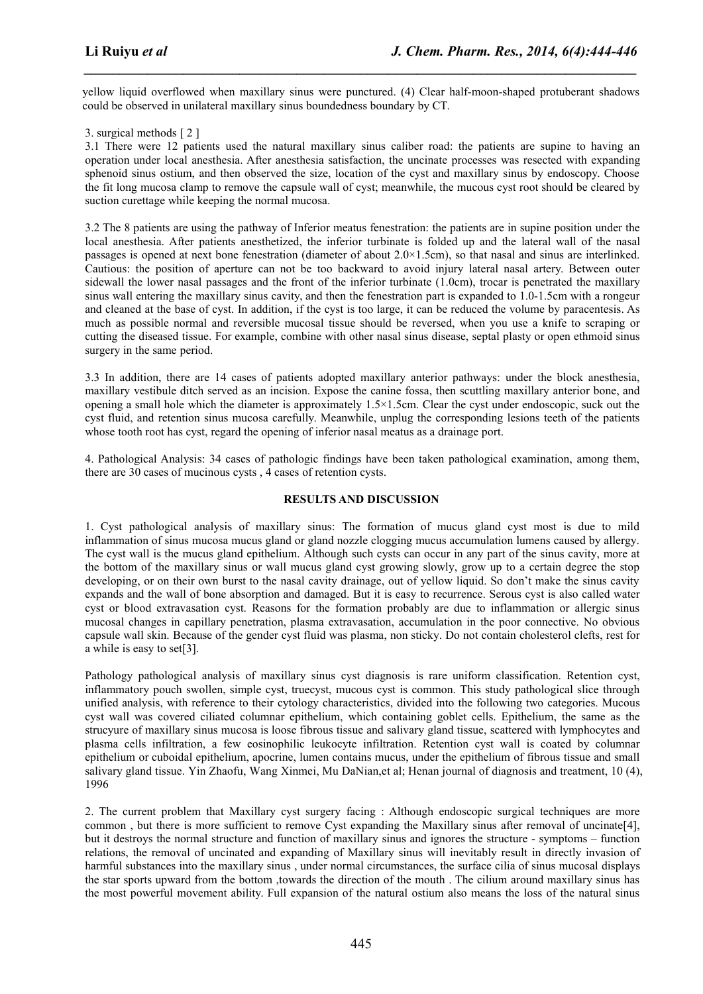yellow liquid overflowed when maxillary sinus were punctured. (4) Clear half-moon-shaped protuberant shadows could be observed in unilateral maxillary sinus boundedness boundary by CT.

*\_\_\_\_\_\_\_\_\_\_\_\_\_\_\_\_\_\_\_\_\_\_\_\_\_\_\_\_\_\_\_\_\_\_\_\_\_\_\_\_\_\_\_\_\_\_\_\_\_\_\_\_\_\_\_\_\_\_\_\_\_\_\_\_\_\_\_\_\_\_\_\_\_\_\_\_\_\_*

3. surgical methods [ 2 ]

3.1 There were 12 patients used the natural maxillary sinus caliber road: the patients are supine to having an operation under local anesthesia. After anesthesia satisfaction, the uncinate processes was resected with expanding sphenoid sinus ostium, and then observed the size, location of the cyst and maxillary sinus by endoscopy. Choose the fit long mucosa clamp to remove the capsule wall of cyst; meanwhile, the mucous cyst root should be cleared by suction curettage while keeping the normal mucosa.

3.2 The 8 patients are using the pathway of Inferior meatus fenestration: the patients are in supine position under the local anesthesia. After patients anesthetized, the inferior turbinate is folded up and the lateral wall of the nasal passages is opened at next bone fenestration (diameter of about 2.0×1.5cm), so that nasaland sinus are interlinked. Cautious: the position of aperture can not be too backward to avoid injury lateral nasal artery. Between outer sidewall the lower nasal passages and the front of the inferior turbinate (1.0cm), trocar is penetrated the maxillary sinus wall entering the maxillary sinus cavity, and then the fenestration part is expanded to 1.0-1.5cm with a rongeur and cleaned at the base of cyst. In addition, if the cyst is too large, it can be reduced the volume by paracentesis. As much as possible normal and reversible mucosal tissue should be reversed, when you use a knife to scraping or cutting the diseased tissue. For example, combine with other nasal sinus disease, septal plasty or open ethmoid sinus surgery in the same period.

3.3 In addition, there are 14 cases of patients adopted maxillary anterior pathways: under the block anesthesia, maxillary vestibule ditch served as an incision. Expose the canine fossa, then scuttling maxillary anterior bone, and opening a small hole which the diameter is approximately  $1.5 \times 1.5$ cm. Clear the cyst under endoscopic, suck out the cyst fluid, and retention sinus mucosa carefully. Meanwhile, unplug the corresponding lesions teeth of the patients whose tooth root has cyst, regard the opening of inferior nasal meatus as a drainage port.

4. Pathological Analysis: 34 cases of pathologic findings have been taken pathological examination, among them, there are 30 cases of mucinous cysts, 4 cases of retention cysts.

#### **RESULTS AND DISCUSSION**

1. Cyst pathological analysis of maxillary sinus: The formation of mucus gland cyst most is due to mild inflammation of sinus mucosa mucus gland or gland nozzle clogging mucus accumulation lumens caused by allergy. The cyst wall is the mucus gland epithelium. Although such cysts can occur in any part of the sinus cavity, more at the bottom of the maxillary sinus or wall mucus gland cyst growing slowly, grow up to a certain degree the stop developing, or on their own burst to the nasal cavity drainage, out of yellow liquid. So don't make the sinus cavity expands and the wall of bone absorption and damaged. But it is easy to recurrence. Serous cyst is also called water cyst or blood extravasation cyst. Reasons for the formation probably are due to inflammation or allergic sinus mucosal changes in capillary penetration, plasma extravasation, accumulation in the poor connective. No obvious capsule wall skin. Because of the gender cyst fluid was plasma, non sticky. Do not contain cholesterol clefts, rest for a while is easy to set[3].

Pathology pathological analysis of maxillary sinus cyst diagnosis is rare uniform classification. Retention cyst, inflammatory pouch swollen, simple cyst, truecyst, mucous cyst is common. This study pathological slice through unified analysis, with reference to their cytology characteristics, divided into the following two categories. Mucous cyst wall was covered ciliated columnar epithelium, which containing goblet cells. Epithelium, the same as the strucyure of maxillary sinus mucosa is loose fibrous tissue and salivary gland tissue, scattered with lymphocytes and plasma cells infiltration, a few eosinophilic leukocyte infiltration. Retention cyst wall is coated by columnar epithelium or cuboidal epithelium, apocrine, lumen contains mucus, under the epithelium of fibrous tissue and small salivary gland tissue. Yin Zhaofu, Wang Xinmei, Mu DaNian,et al; Henan journal of diagnosis and treatment, 10 (4), 1996

2. The current problem that Maxillary cyst surgery facing : Although endoscopic surgical techniques are more common, but there is more sufficient to remove Cyst expanding the Maxillary sinus after removal of uncinate [4]. but it destroys the normal structure and function of maxillary sinus and ignores the structure - symptoms – function relations, the removal of uncinated and expanding of Maxillary sinus will inevitably result in directly invasion of harmful substances into the maxillary sinus , under normal circumstances, the surface cilia of sinus mucosal displays the star sports upward from the bottom ,towards the direction of the mouth . The cilium around maxillary sinus has the most powerful movement ability. Full expansion of the natural ostium also means the loss of the natural sinus